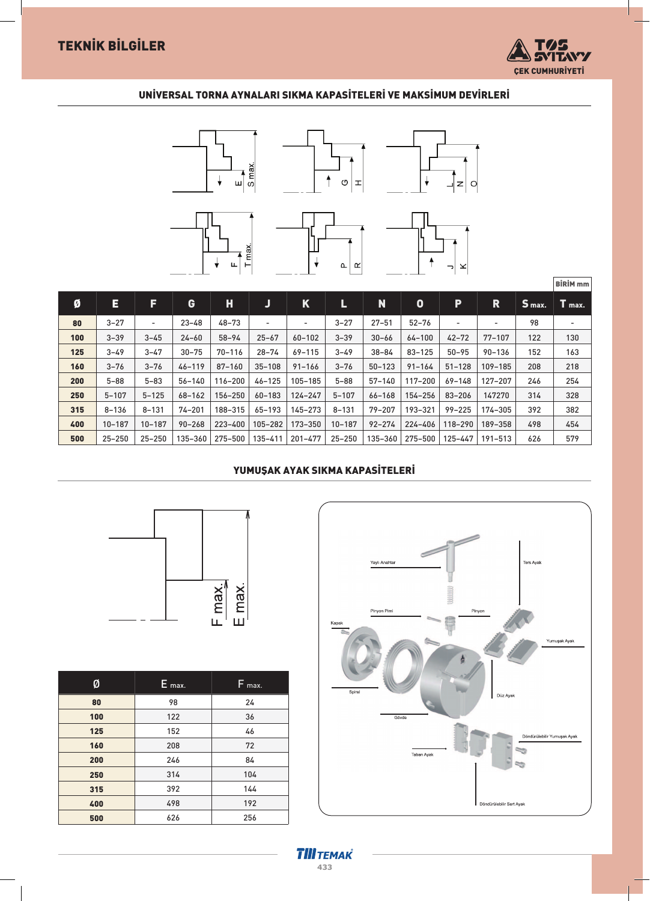

BİRİM mm

## UNİVERSAL TORNA AYNALARI SIKMA KAPASİTELERİ VE MAKSİMUM DEVİRLERİ



| Ø   | E.         | F                        | G          | H          | J                        | K           | L          | N          | 0          | P          | R           | S max. | $T$ max. |
|-----|------------|--------------------------|------------|------------|--------------------------|-------------|------------|------------|------------|------------|-------------|--------|----------|
| 80  | $3 - 27$   | $\overline{\phantom{a}}$ | $23 - 48$  | $48 - 73$  | $\overline{\phantom{a}}$ | ۰           | $3 - 27$   | $27 - 51$  | $52 - 76$  |            | -           | 98     | ۰.       |
| 100 | $3 - 39$   | $3 - 45$                 | $24 - 60$  | $58 - 94$  | $25 - 67$                | $60 - 102$  | $3 - 39$   | $30 - 66$  | $64 - 100$ | $42 - 72$  | $77 - 107$  | 122    | 130      |
| 125 | $3 - 49$   | $3 - 47$                 | $30 - 75$  | $70 - 116$ | $28 - 74$                | $69 - 115$  | $3 - 49$   | $38 - 84$  | $83 - 125$ | $50 - 95$  | $90 - 136$  | 152    | 163      |
| 160 | $3 - 76$   | $3 - 76$                 | $46 - 119$ | $87 - 160$ | $35 - 108$               | $91 - 166$  | $3 - 76$   | $50 - 123$ | $91 - 164$ | $51 - 128$ | 109-185     | 208    | 218      |
| 200 | $5 - 88$   | $5 - 83$                 | $56 - 140$ | 116-200    | $46 - 125$               | 105-185     | $5 - 88$   | $57 - 140$ | 117-200    | $69 - 148$ | 127-207     | 246    | 254      |
| 250 | $5 - 107$  | $5 - 125$                | $68 - 162$ | 156-250    | $60 - 183$               | $124 - 247$ | $5 - 107$  | $66 - 168$ | 154-256    | $83 - 206$ | 147270      | 314    | 328      |
| 315 | $8 - 136$  | $8 - 131$                | $74 - 201$ | 188-315    | $65 - 193$               | 145-273     | $8 - 131$  | $79 - 207$ | 193-321    | $99 - 225$ | 174-305     | 392    | 382      |
| 400 | 10-187     | $10 - 187$               | $90 - 268$ | 223-400    | 105-282                  | 173-350     | $10 - 187$ | $92 - 274$ | 224-406    | 118-290    | 189-358     | 498    | 454      |
| 500 | $25 - 250$ | $25 - 250$               | 135-360    | 275-500    | 135-411                  | 201-477     | $25 - 250$ | 135-360    | 275-500    | 125-447    | $191 - 513$ | 626    | 579      |

### YUMUŞAK AYAK SIKMA KAPASİTELERİ





| Ø   | E max. | $F_{max.}$ |
|-----|--------|------------|
| 80  | 98     | 24         |
| 100 | 122    | 36         |
| 125 | 152    | 46         |
| 160 | 208    | 72         |
| 200 | 246    | 84         |
| 250 | 314    | 104        |
| 315 | 392    | 144        |
| 400 | 498    | 192        |
| 500 | 626    | 256        |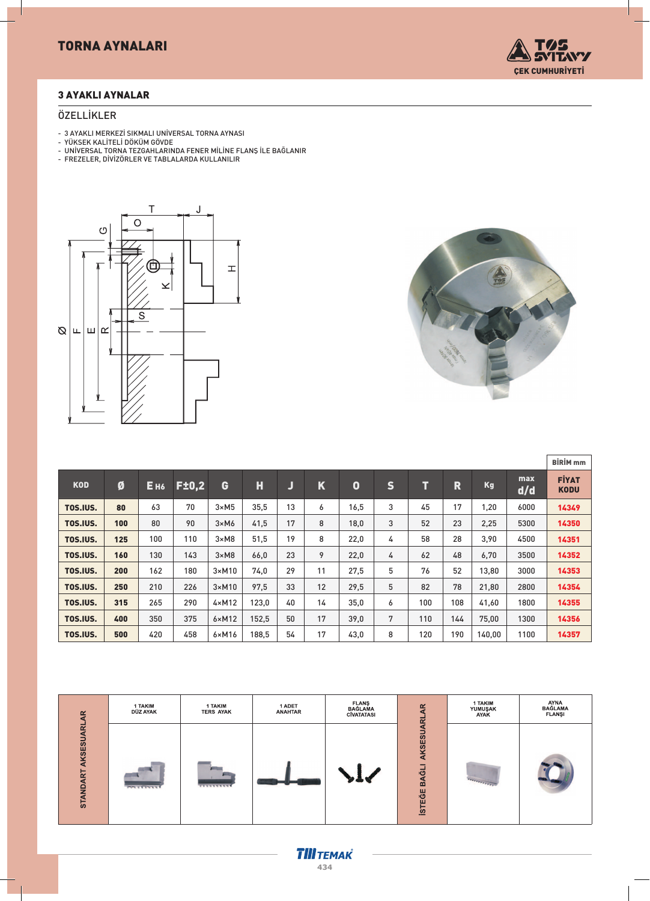

#### 3 AYAKLI AYNALAR

#### ÖZELLİKLER

- 3 AYAKLI MERKEZİ SIKMALI UNİVERSAL TORNA AYNASI
- YÜKSEK KALİTELİ DÖKÜM GÖVDE
- UNİVERSAL TORNA TEZGAHLARINDA FENER MİLİNE FLANÞ İLE BAĞLANIR
- FREZELER, DİVİZÖRLER VE TABLALARDA KULLANILIR





|            |     |                 |              |                |       |    |             |             |              |     |     |           |            | <b>BİRİM</b> mm             |
|------------|-----|-----------------|--------------|----------------|-------|----|-------------|-------------|--------------|-----|-----|-----------|------------|-----------------------------|
| <b>KOD</b> | Ø   | E <sub>H6</sub> | <b>F±0,2</b> | G              | Н     | Ū  | $\mathbf K$ | $\mathbf 0$ | $\mathsf{s}$ | T   | R   | <b>Kg</b> | max<br>d/d | <b>FIYAT</b><br><b>KODU</b> |
| TOS.IUS.   | 80  | 63              | 70           | $3 \times M5$  | 35,5  | 13 | 6           | 16,5        | 3            | 45  | 17  | 1,20      | 6000       | 14349                       |
| TOS.IUS.   | 100 | 80              | 90           | $3 \times M6$  | 41,5  | 17 | 8           | 18,0        | 3            | 52  | 23  | 2,25      | 5300       | 14350                       |
| TOS.IUS.   | 125 | 100             | 110          | $3 \times M8$  | 51,5  | 19 | 8           | 22,0        | 4            | 58  | 28  | 3,90      | 4500       | 14351                       |
| TOS.IUS.   | 160 | 130             | 143          | $3 \times M8$  | 66,0  | 23 | 9           | 22,0        | 4            | 62  | 48  | 6,70      | 3500       | 14352                       |
| TOS.IUS.   | 200 | 162             | 180          | $3 \times M10$ | 74,0  | 29 | 11          | 27,5        | 5            | 76  | 52  | 13,80     | 3000       | 14353                       |
| TOS.IUS.   | 250 | 210             | 226          | $3 \times M10$ | 97,5  | 33 | 12          | 29,5        | 5            | 82  | 78  | 21,80     | 2800       | 14354                       |
| TOS.IUS.   | 315 | 265             | 290          | $4 \times M12$ | 123,0 | 40 | 14          | 35,0        | 6            | 100 | 108 | 41,60     | 1800       | 14355                       |
| TOS.IUS.   | 400 | 350             | 375          | $6 \times M12$ | 152,5 | 50 | 17          | 39,0        | 7            | 110 | 144 | 75,00     | 1300       | 14356                       |
| TOS.IUS.   | 500 | 420             | 458          | $6 \times M16$ | 188.5 | 54 | 17          | 43,0        | 8            | 120 | 190 | 140.00    | 1100       | 14357                       |



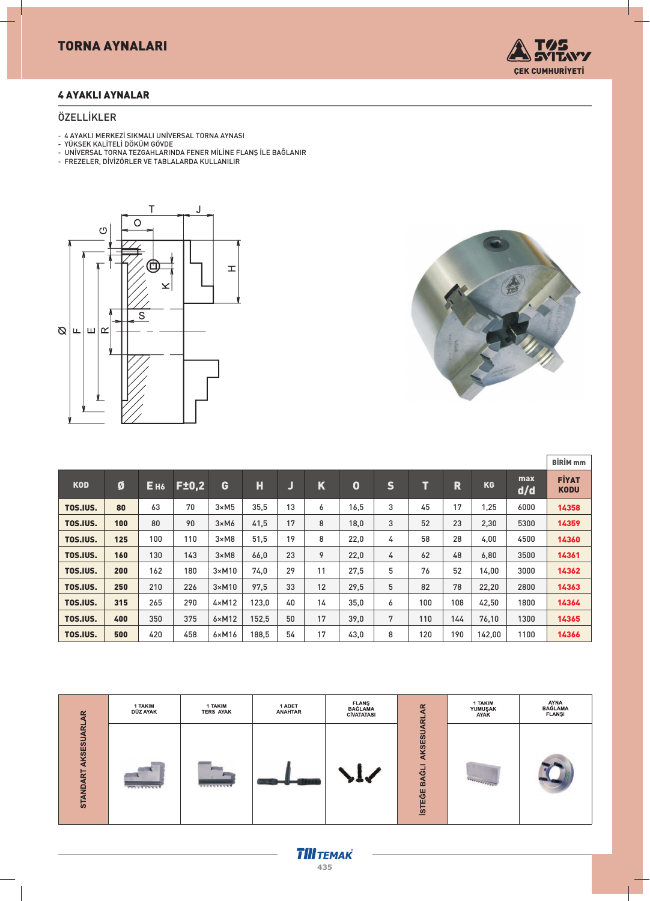# TORNA AYNALARI



### 4 AYAKLI AYNALAR

#### ÖZELLİKLER

- 4 AYAKLI MERKEZİ SIKMALI UNİVERSAL TORNA AYNASI
- YÜKSEK KALİTELİ DÖKÜM GÖVDE - UNİVERSAL TORNA TEZGAHLARINDA FENER MİLİNE FLANÞ İLE BAĞLANIR
- FREZELER, DİVİZÖRLER VE TABLALARDA KULLANILIR





|            |     |            |              |                |       |    |    |             |              |     |                         |        |            | <b>BİRİM</b> <sub>mm</sub>  |
|------------|-----|------------|--------------|----------------|-------|----|----|-------------|--------------|-----|-------------------------|--------|------------|-----------------------------|
| <b>KOD</b> | Ø   | <b>Ень</b> | <b>F±0.2</b> | G              | Н     | J  | K  | $\mathbf 0$ | $\mathsf{s}$ | T   | $\overline{\mathbf{R}}$ | KG     | max<br>d/d | <b>FİYAT</b><br><b>KODU</b> |
| TOS.IUS.   | 80  | 63         | 70           | $3 \times M5$  | 35,5  | 13 | 6  | 16,5        | 3            | 45  | 17                      | 1,25   | 6000       | 14358                       |
| TOS.IUS.   | 100 | 80         | 90           | $3 \times M6$  | 41,5  | 17 | 8  | 18,0        | 3            | 52  | 23                      | 2,30   | 5300       | 14359                       |
| TOS.IUS.   | 125 | 100        | 110          | $3 \times M8$  | 51,5  | 19 | 8  | 22,0        | 4            | 58  | 28                      | 4,00   | 4500       | 14360                       |
| TOS.IUS.   | 160 | 130        | 143          | $3 \times M8$  | 66,0  | 23 | 9  | 22,0        | 4            | 62  | 48                      | 6,80   | 3500       | 14361                       |
| TOS.IUS.   | 200 | 162        | 180          | $3 \times M10$ | 74,0  | 29 | 11 | 27,5        | 5            | 76  | 52                      | 14,00  | 3000       | 14362                       |
| TOS.IUS.   | 250 | 210        | 226          | $3 \times M10$ | 97,5  | 33 | 12 | 29,5        | 5            | 82  | 78                      | 22,20  | 2800       | 14363                       |
| TOS.IUS.   | 315 | 265        | 290          | $4 \times M12$ | 123,0 | 40 | 14 | 35,0        | 6            | 100 | 108                     | 42,50  | 1800       | 14364                       |
| TOS.IUS.   | 400 | 350        | 375          | $6 \times M12$ | 152,5 | 50 | 17 | 39,0        | 7            | 110 | 144                     | 76,10  | 1300       | 14365                       |
| TOS.IUS.   | 500 | 420        | 458          | $6 \times M16$ | 188,5 | 54 | 17 | 43,0        | 8            | 120 | 190                     | 142,00 | 1100       | 14366                       |

| $\propto$                               | 1 TAKIM<br>DÜZ AYAK | 1 TAKIM<br><b>TERS AYAK</b> | 1 ADET<br><b>ANAHTAR</b> | <b>FLANS</b><br>BAĞLAMA<br>CİVATATASI | $\alpha$                                   | 1 TAKIM<br>YUMUŞAK<br>AYAK        | AYNA<br>BAĞLAMA<br><b>FLANSI</b> |
|-----------------------------------------|---------------------|-----------------------------|--------------------------|---------------------------------------|--------------------------------------------|-----------------------------------|----------------------------------|
| ನ<br>KSESU<br>⋖<br>Σ<br>₽<br><b>STA</b> | <b>PRIVATION</b>    | <b>TTTTTTTTTTT</b>          | <b>The Common Second</b> |                                       | AKSESUARL<br>。<br>「<br>BA<br><b>İSTEĞE</b> | <b><i>PERSONALLY PROPERTY</i></b> |                                  |

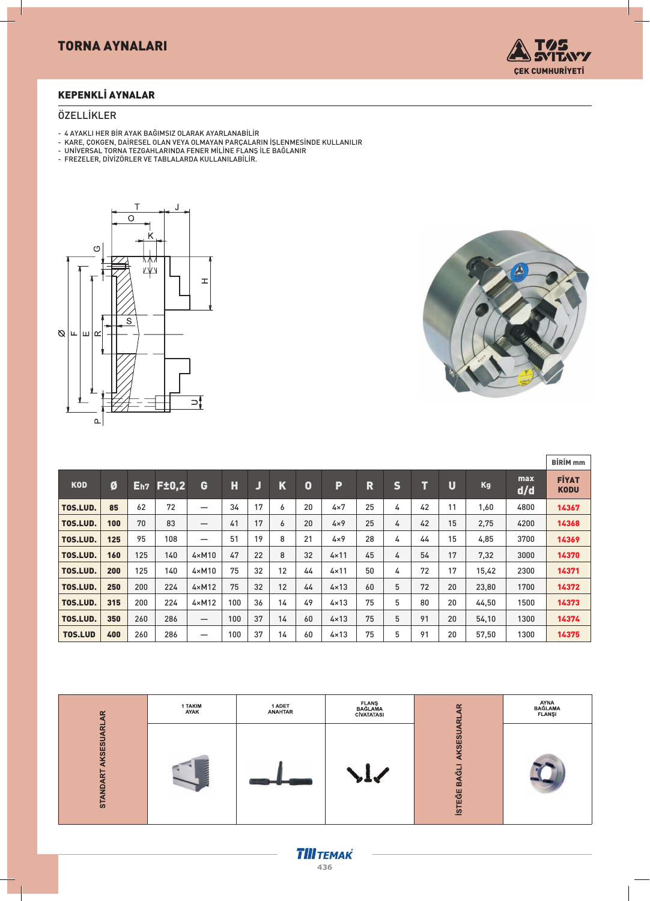

## KEPENKLİ AYNALAR

#### ÖZELLİKLER

- 4 AYAKLI HER BİR AYAK BAÐIMSIZ OLARAK AYARLANABİLİR
- KARE, ÇOKGEN, DAİRESEL OLAN VEYA OLMAYAN PARÇALARIN İÞLENMESİNDE KULLANILIR
- UNİVERSAL TORNA TEZGAHLARINDA FENER MİLİNE FLANÞ İLE BAÐLANIR
- FREZELER, DİVİZÖRLER VE TABLALARDA KULLANILABİLİR.





|                |     |     |                  |                                 |     |    |             |    |               |    |   |    |    |           |            | <b>BİRİM</b> <sub>mm</sub>  |
|----------------|-----|-----|------------------|---------------------------------|-----|----|-------------|----|---------------|----|---|----|----|-----------|------------|-----------------------------|
| <b>KOD</b>     | Ø   |     | <b>Eh7 F±0.2</b> | G                               | H   | IJ | $\mathbf K$ | 0  | P             | R  | S | П  | U  | <b>Kg</b> | max<br>d/d | <b>FIYAT</b><br><b>KODU</b> |
| TOS.LUD.       | 85  | 62  | 72               | —                               | 34  | 17 | 6           | 20 | $4\times 7$   | 25 | 4 | 42 | 11 | 1,60      | 4800       | 14367                       |
| TOS.LUD.       | 100 | 70  | 83               | —                               | 41  | 17 | 6           | 20 | $4\times9$    | 25 | 4 | 42 | 15 | 2,75      | 4200       | 14368                       |
| TOS.LUD.       | 125 | 95  | 108              | —                               | 51  | 19 | 8           | 21 | $4\times9$    | 28 | 4 | 44 | 15 | 4,85      | 3700       | 14369                       |
| TOS.LUD.       | 160 | 125 | 140              | $4 \times M10$                  | 47  | 22 | 8           | 32 | $4 \times 11$ | 45 | 4 | 54 | 17 | 7,32      | 3000       | 14370                       |
| TOS.LUD.       | 200 | 125 | 140              | $4 \times M10$                  | 75  | 32 | 12          | 44 | $4 \times 11$ | 50 | 4 | 72 | 17 | 15,42     | 2300       | 14371                       |
| TOS.LUD.       | 250 | 200 | 224              | $4 \times M12$                  | 75  | 32 | 12          | 44 | $4 \times 13$ | 60 | 5 | 72 | 20 | 23,80     | 1700       | 14372                       |
| TOS.LUD.       | 315 | 200 | 224              | $4 \times M12$                  | 100 | 36 | 14          | 49 | $4 \times 13$ | 75 | 5 | 80 | 20 | 44,50     | 1500       | 14373                       |
| TOS.LUD.       | 350 | 260 | 286              | $\hspace{0.1mm}-\hspace{0.1mm}$ | 100 | 37 | 14          | 60 | $4 \times 13$ | 75 | 5 | 91 | 20 | 54,10     | 1300       | 14374                       |
| <b>TOS.LUD</b> | 400 | 260 | 286              | –                               | 100 | 37 | 14          | 60 | $4 \times 13$ | 75 | 5 | 91 | 20 | 57,50     | 1300       | 14375                       |

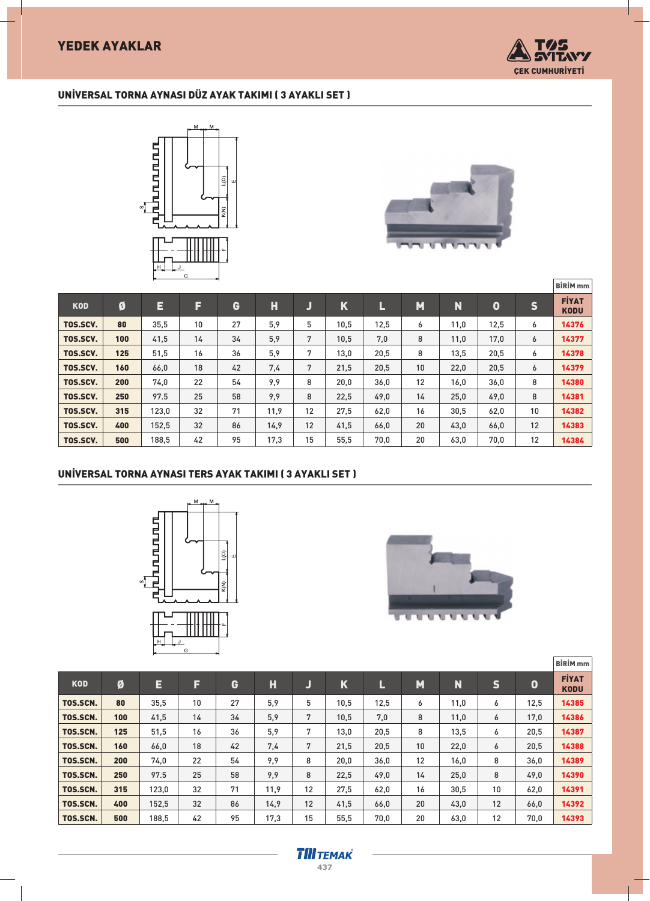

## UNİVERSAL TORNA AYNASI DÜZ AYAK TAKIMI ( 3 AYAKLI SET )





|            |     |       |    |    |      |    |      |      |    |      |                  |              | <b>BİRİM</b> <sub>mm</sub>  |
|------------|-----|-------|----|----|------|----|------|------|----|------|------------------|--------------|-----------------------------|
| <b>KOD</b> | Ø   | E     | F  | G  | н    | ل  | K    | L    | M  | N    | $\boldsymbol{0}$ | $\mathsf{s}$ | <b>FİYAT</b><br><b>KODU</b> |
| TOS.SCV.   | 80  | 35,5  | 10 | 27 | 5,9  | 5  | 10,5 | 12,5 | 6  | 11,0 | 12,5             | 6            | 14376                       |
| TOS.SCV.   | 100 | 41,5  | 14 | 34 | 5,9  | 7  | 10,5 | 7,0  | 8  | 11,0 | 17,0             | 6            | 14377                       |
| TOS.SCV.   | 125 | 51,5  | 16 | 36 | 5,9  | 7  | 13,0 | 20,5 | 8  | 13,5 | 20,5             | 6            | 14378                       |
| TOS.SCV.   | 160 | 66,0  | 18 | 42 | 7.4  | 7  | 21,5 | 20,5 | 10 | 22,0 | 20,5             | 6            | 14379                       |
| TOS.SCV.   | 200 | 74,0  | 22 | 54 | 9.9  | 8  | 20,0 | 36,0 | 12 | 16,0 | 36,0             | 8            | 14380                       |
| TOS.SCV.   | 250 | 97.5  | 25 | 58 | 9,9  | 8  | 22,5 | 49,0 | 14 | 25,0 | 49,0             | 8            | 14381                       |
| TOS.SCV.   | 315 | 123,0 | 32 | 71 | 11,9 | 12 | 27,5 | 62,0 | 16 | 30,5 | 62,0             | 10           | 14382                       |
| TOS.SCV.   | 400 | 152,5 | 32 | 86 | 14,9 | 12 | 41,5 | 66,0 | 20 | 43,0 | 66,0             | 12           | 14383                       |
| TOS.SCV.   | 500 | 188.5 | 42 | 95 | 17,3 | 15 | 55,5 | 70,0 | 20 | 63,0 | 70,0             | 12           | 14384                       |

#### UNİVERSAL TORNA AYNASI TERS AYAK TAKIMI ( 3 AYAKLI SET )





|            |     |       |    |    |      |    |      |      |    |      |             |      | <b>BİRİM</b> <sub>mm</sub>  |
|------------|-----|-------|----|----|------|----|------|------|----|------|-------------|------|-----------------------------|
| <b>KOD</b> | Ø   | E     | F  | G  | Н    | υ  | K    | L    | M  | N    | $\mathbf S$ | 0    | <b>FİYAT</b><br><b>KODU</b> |
| TOS.SCN.   | 80  | 35,5  | 10 | 27 | 5,9  | 5  | 10,5 | 12,5 | 6  | 11,0 | 6           | 12,5 | 14385                       |
| TOS.SCN.   | 100 | 41,5  | 14 | 34 | 5,9  | 7  | 10,5 | 7,0  | 8  | 11,0 | 6           | 17,0 | 14386                       |
| TOS.SCN.   | 125 | 51,5  | 16 | 36 | 5,9  | 7  | 13,0 | 20,5 | 8  | 13,5 | 6           | 20,5 | 14387                       |
| TOS.SCN.   | 160 | 66,0  | 18 | 42 | 7.4  | 7  | 21,5 | 20,5 | 10 | 22,0 | 6           | 20,5 | 14388                       |
| TOS.SCN.   | 200 | 74,0  | 22 | 54 | 9.9  | 8  | 20,0 | 36,0 | 12 | 16,0 | 8           | 36,0 | 14389                       |
| TOS.SCN.   | 250 | 97.5  | 25 | 58 | 9.9  | 8  | 22,5 | 49,0 | 14 | 25,0 | 8           | 49,0 | 14390                       |
| TOS.SCN.   | 315 | 123,0 | 32 | 71 | 11,9 | 12 | 27,5 | 62,0 | 16 | 30,5 | 10          | 62,0 | 14391                       |
| TOS.SCN.   | 400 | 152,5 | 32 | 86 | 14,9 | 12 | 41,5 | 66,0 | 20 | 43,0 | 12          | 66,0 | 14392                       |
| TOS.SCN.   | 500 | 188,5 | 42 | 95 | 17,3 | 15 | 55.5 | 70,0 | 20 | 63,0 | 12          | 70.0 | 14393                       |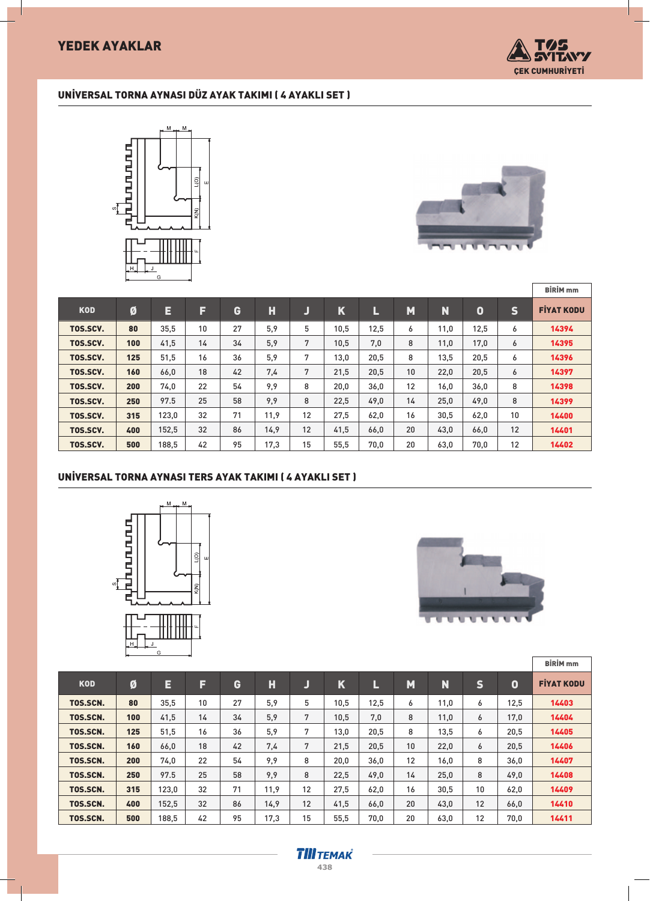# YEDEK AYAKLAR



## UNİVERSAL TORNA AYNASI DÜZ AYAK TAKIMI ( 4 AYAKLI SET )





|            |     |       |    |    |      |          |             |      |    |      |      |              | <b>BİRİM</b> <sub>mm</sub> |
|------------|-----|-------|----|----|------|----------|-------------|------|----|------|------|--------------|----------------------------|
| <b>KOD</b> | Ø   | E     | F  | G  | Н    | <b>J</b> | $\mathbf K$ | L    | M  | N    | 0    | $\mathsf{s}$ | <b>FIYAT KODU</b>          |
| TOS.SCV.   | 80  | 35,5  | 10 | 27 | 5,9  | 5        | 10,5        | 12,5 | 6  | 11,0 | 12,5 | 6            | 14394                      |
| TOS.SCV.   | 100 | 41,5  | 14 | 34 | 5,9  | 7        | 10,5        | 7,0  | 8  | 11,0 | 17,0 | 6            | 14395                      |
| TOS.SCV.   | 125 | 51,5  | 16 | 36 | 5,9  | 7        | 13,0        | 20,5 | 8  | 13,5 | 20,5 | 6            | 14396                      |
| TOS.SCV.   | 160 | 66,0  | 18 | 42 | 7,4  | 7        | 21,5        | 20,5 | 10 | 22,0 | 20,5 | 6            | 14397                      |
| TOS.SCV.   | 200 | 74,0  | 22 | 54 | 9,9  | 8        | 20,0        | 36,0 | 12 | 16,0 | 36,0 | 8            | 14398                      |
| TOS.SCV.   | 250 | 97.5  | 25 | 58 | 9.9  | 8        | 22,5        | 49,0 | 14 | 25,0 | 49,0 | 8            | 14399                      |
| TOS.SCV.   | 315 | 123,0 | 32 | 71 | 11,9 | 12       | 27,5        | 62,0 | 16 | 30,5 | 62,0 | 10           | 14400                      |
| TOS.SCV.   | 400 | 152,5 | 32 | 86 | 14.9 | 12       | 41,5        | 66,0 | 20 | 43,0 | 66,0 | 12           | 14401                      |
| TOS.SCV.   | 500 | 188,5 | 42 | 95 | 17,3 | 15       | 55,5        | 70,0 | 20 | 63,0 | 70,0 | 12           | 14402                      |

## UNİVERSAL TORNA AYNASI TERS AYAK TAKIMI ( 4 AYAKLI SET )





|            |     |       |    |    |      |    |             |      |    |      |                 |             | <b>BİRİM</b> <sub>mm</sub> |
|------------|-----|-------|----|----|------|----|-------------|------|----|------|-----------------|-------------|----------------------------|
| <b>KOD</b> | Ø   | E     | F  | G  | Н    | J  | $\mathbf K$ | L    | M  | N.   | S,              | $\mathbf 0$ | <b>FİYAT KODU</b>          |
| TOS.SCN.   | 80  | 35,5  | 10 | 27 | 5,9  | 5  | 10,5        | 12,5 | 6  | 11,0 | 6               | 12,5        | 14403                      |
| TOS.SCN.   | 100 | 41,5  | 14 | 34 | 5,9  | 7  | 10,5        | 7,0  | 8  | 11,0 | 6               | 17,0        | 14404                      |
| TOS.SCN.   | 125 | 51,5  | 16 | 36 | 5,9  | 7  | 13,0        | 20,5 | 8  | 13,5 | 6               | 20,5        | 14405                      |
| TOS.SCN.   | 160 | 66,0  | 18 | 42 | 7,4  | 7  | 21,5        | 20,5 | 10 | 22,0 | 6               | 20,5        | 14406                      |
| TOS.SCN.   | 200 | 74,0  | 22 | 54 | 9,9  | 8  | 20,0        | 36,0 | 12 | 16,0 | 8               | 36,0        | 14407                      |
| TOS.SCN.   | 250 | 97.5  | 25 | 58 | 9,9  | 8  | 22,5        | 49,0 | 14 | 25,0 | 8               | 49,0        | 14408                      |
| TOS.SCN.   | 315 | 123,0 | 32 | 71 | 11,9 | 12 | 27,5        | 62,0 | 16 | 30,5 | 10 <sup>°</sup> | 62,0        | 14409                      |
| TOS.SCN.   | 400 | 152,5 | 32 | 86 | 14.9 | 12 | 41,5        | 66,0 | 20 | 43,0 | 12              | 66,0        | 14410                      |
| TOS.SCN.   | 500 | 188,5 | 42 | 95 | 17,3 | 15 | 55,5        | 70,0 | 20 | 63,0 | 12              | 70,0        | 14411                      |

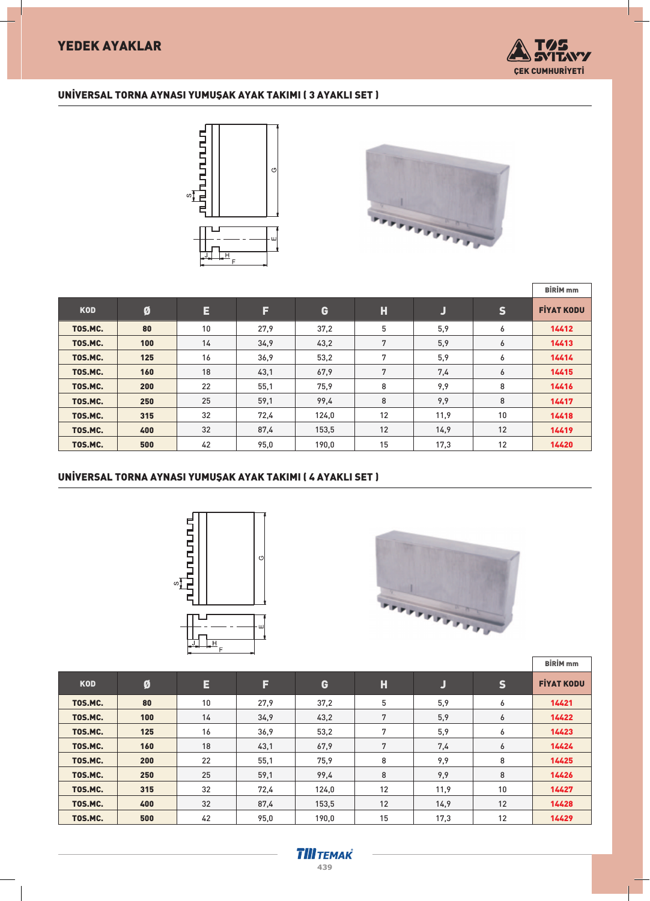

## UNİVERSAL TORNA AYNASI YUMUŞAK AYAK TAKIMI (3 AYAKLI SET )





|            |     |    |      |       |    |      |              | <b>BİRİM</b> <sub>mm</sub> |
|------------|-----|----|------|-------|----|------|--------------|----------------------------|
| <b>KOD</b> | Ø   | E  | F    | G     | н  | IJ   | $\mathsf{s}$ | <b>FİYAT KODU</b>          |
| TOS.MC.    | 80  | 10 | 27,9 | 37,2  | 5  | 5,9  | 6            | 14412                      |
| TOS.MC.    | 100 | 14 | 34,9 | 43,2  | 7  | 5,9  | 6            | 14413                      |
| TOS.MC.    | 125 | 16 | 36,9 | 53,2  | 7  | 5,9  | 6            | 14414                      |
| TOS.MC.    | 160 | 18 | 43,1 | 67,9  | 7  | 7,4  | 6            | 14415                      |
| TOS.MC.    | 200 | 22 | 55,1 | 75,9  | 8  | 9,9  | 8            | 14416                      |
| TOS.MC.    | 250 | 25 | 59,1 | 99,4  | 8  | 9,9  | 8            | 14417                      |
| TOS.MC.    | 315 | 32 | 72,4 | 124,0 | 12 | 11,9 | 10           | 14418                      |
| TOS.MC.    | 400 | 32 | 87,4 | 153,5 | 12 | 14.9 | 12           | 14419                      |
| TOS.MC.    | 500 | 42 | 95,0 | 190,0 | 15 | 17,3 | 12           | 14420                      |

## UNİVERSAL TORNA AYNASI YUMUŞAK AYAK TAKIMI (4 AYAKLI SET )





|            |     |    |      |       |    |      |              | <b>BİRİM</b> <sub>mm</sub> |
|------------|-----|----|------|-------|----|------|--------------|----------------------------|
| <b>KOD</b> | Ø   | E  | F    | G     | H  | J    | $\mathsf{s}$ | <b>FIYAT KODU</b>          |
| TOS.MC.    | 80  | 10 | 27,9 | 37,2  | 5  | 5,9  | 6            | 14421                      |
| TOS.MC.    | 100 | 14 | 34,9 | 43,2  | 7  | 5,9  | 6            | 14422                      |
| TOS.MC.    | 125 | 16 | 36,9 | 53,2  | 7  | 5,9  | 6            | 14423                      |
| TOS.MC.    | 160 | 18 | 43,1 | 67,9  | 7  | 7,4  | 6            | 14424                      |
| TOS.MC.    | 200 | 22 | 55,1 | 75,9  | 8  | 9,9  | 8            | 14425                      |
| TOS.MC.    | 250 | 25 | 59.1 | 99.4  | 8  | 9,9  | 8            | 14426                      |
| TOS.MC.    | 315 | 32 | 72,4 | 124,0 | 12 | 11,9 | 10           | 14427                      |
| TOS.MC.    | 400 | 32 | 87,4 | 153,5 | 12 | 14.9 | 12           | 14428                      |
| TOS.MC.    | 500 | 42 | 95,0 | 190,0 | 15 | 17,3 | 12           | 14429                      |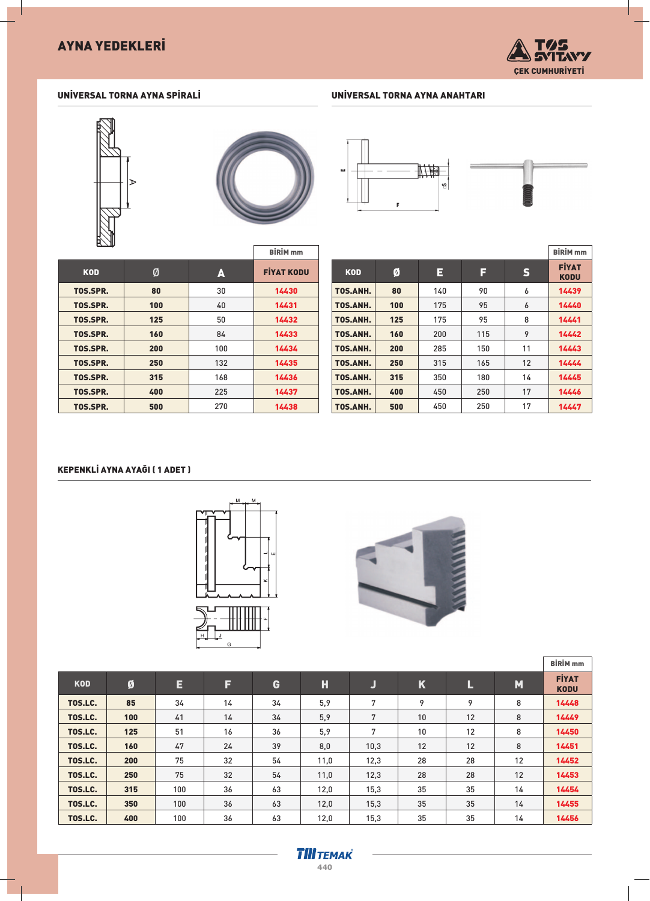

## UNİVERSAL TORNA AYNA SPİRALİ



#### UNİVERSAL TORNA AYNA ANAHTARI



|            |     |     | <b>BİRİM</b> <sub>mm</sub> |
|------------|-----|-----|----------------------------|
| <b>KOD</b> | Ø   | A   | <b>FIYAT KODU</b>          |
| TOS.SPR.   | 80  | 30  | 14430                      |
| TOS.SPR.   | 100 | 40  | 14431                      |
| TOS.SPR.   | 125 | 50  | 14432                      |
| TOS.SPR.   | 160 | 84  | 14433                      |
| TOS.SPR.   | 200 | 100 | 14434                      |
| TOS.SPR.   | 250 | 132 | 14435                      |
| TOS.SPR.   | 315 | 168 | 14436                      |
| TOS.SPR.   | 400 | 225 | 14437                      |
| TOS.SPR.   | 500 | 270 | 14438                      |

|            |     |     |     |              | <b>BİRİM</b> <sub>mm</sub>  |
|------------|-----|-----|-----|--------------|-----------------------------|
| <b>KOD</b> | Ø   | E   | F   | $\mathsf{s}$ | <b>FİYAT</b><br><b>KODU</b> |
| TOS.ANH.   | 80  | 140 | 90  | 6            | 14439                       |
| TOS.ANH.   | 100 | 175 | 95  | 6            | 14440                       |
| TOS.ANH.   | 125 | 175 | 95  | 8            | 14441                       |
| TOS.ANH.   | 160 | 200 | 115 | 9            | 14442                       |
| TOS.ANH.   | 200 | 285 | 150 | 11           | 14443                       |
| TOS.ANH.   | 250 | 315 | 165 | 12           | 14444                       |
| TOS.ANH.   | 315 | 350 | 180 | 14           | 14445                       |
| TOS.ANH.   | 400 | 450 | 250 | 17           | 14446                       |
| TOS.ANH.   | 500 | 450 | 250 | 17           | 14447                       |

#### KEPENKLİ AYNA AYAĞI (1 ADET )





|            |     |     |    |    |      |      |             |    |    | <b>BİRİM</b> <sub>mm</sub>  |
|------------|-----|-----|----|----|------|------|-------------|----|----|-----------------------------|
| <b>KOD</b> | Ø   | Е   | F  | G  | Н    | IJ   | $\mathbf K$ | L  | M  | <b>FİYAT</b><br><b>KODU</b> |
| TOS.LC.    | 85  | 34  | 14 | 34 | 5,9  | 7    | 9           | 9  | 8  | 14448                       |
| TOS.LC.    | 100 | 41  | 14 | 34 | 5,9  | 7    | 10          | 12 | 8  | 14449                       |
| TOS.LC.    | 125 | 51  | 16 | 36 | 5,9  | 7    | 10          | 12 | 8  | 14450                       |
| TOS.LC.    | 160 | 47  | 24 | 39 | 8,0  | 10,3 | 12          | 12 | 8  | 14451                       |
| TOS.LC.    | 200 | 75  | 32 | 54 | 11,0 | 12,3 | 28          | 28 | 12 | 14452                       |
| TOS.LC.    | 250 | 75  | 32 | 54 | 11,0 | 12,3 | 28          | 28 | 12 | 14453                       |
| TOS.LC.    | 315 | 100 | 36 | 63 | 12,0 | 15,3 | 35          | 35 | 14 | 14454                       |
| TOS.LC.    | 350 | 100 | 36 | 63 | 12,0 | 15,3 | 35          | 35 | 14 | 14455                       |
| TOS.LC.    | 400 | 100 | 36 | 63 | 12,0 | 15,3 | 35          | 35 | 14 | 14456                       |